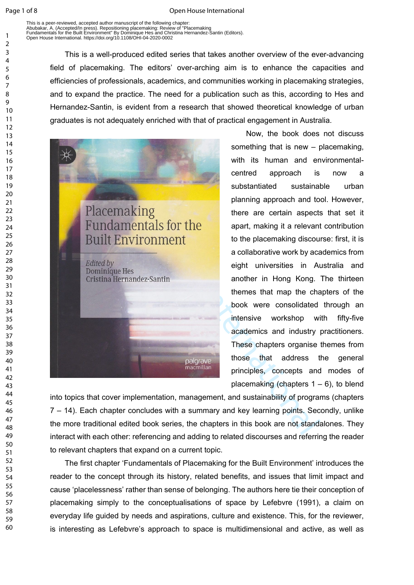This is a peer-reviewed, accepted author manuscript of the following chapter:<br>Abubakar, A. (Accepted/In press). Repositioning placemaking: Review of "Placemaking<br>Fundamentals for the Built Environment" By Dominique Hes and

This is a well-produced edited series that takes another overview of the ever-advancing field of placemaking. The editors' over-arching aim is to enhance the capacities and efficiencies of professionals, academics, and communities working in placemaking strategies, and to expand the practice. The need for a publication such as this, according to Hes and Hernandez-Santin, is evident from a research that showed theoretical knowledge of urban graduates is not adequately enriched with that of practical engagement in Australia.



Now, the book does not discuss something that is new – placemaking, with its human and environmentalcentred approach is now a substantiated sustainable urban planning approach and tool. However, there are certain aspects that set it apart, making it a relevant contribution to the placemaking discourse: first, it is a collaborative work by academics from eight universities in Australia and another in Hong Kong. The thirteen themes that map the chapters of the book were consolidated through an intensive workshop with fifty-five academics and industry practitioners. These chapters organise themes from those that address the general principles, concepts and modes of placemaking (chapters 1 – 6), to blend

into topics that cover implementation, management, and sustainability of programs (chapters 7 – 14). Each chapter concludes with a summary and key learning points. Secondly, unlike the more traditional edited book series, the chapters in this book are not standalones. They interact with each other: referencing and adding to related discourses and referring the reader to relevant chapters that expand on a current topic.

The first chapter 'Fundamentals of Placemaking for the Built Environment' introduces the reader to the concept through its history, related benefits, and issues that limit impact and cause 'placelessness' rather than sense of belonging. The authors here tie their conception of placemaking simply to the conceptualisations of space by Lefebvre (1991), a claim on everyday life guided by needs and aspirations, culture and existence. This, for the reviewer, is interesting as Lefebvre's approach to space is multidimensional and active, as well as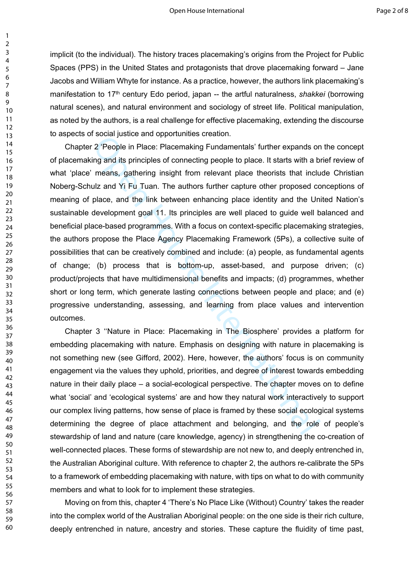implicit (to the individual). The history traces placemaking's origins from the Project for Public Spaces (PPS) in the United States and protagonists that drove placemaking forward – Jane Jacobs and William Whyte for instance. As a practice, however, the authors link placemaking's manifestation to 17th century Edo period, japan -- the artful naturalness, *shakkei* (borrowing natural scenes), and natural environment and sociology of street life. Political manipulation, as noted by the authors, is a real challenge for effective placemaking, extending the discourse to aspects of social justice and opportunities creation.

Social proton and opportunities contain.<br>
2 People in Place: Placemaking Fundamentals' further expands or<br>
2 People in Place: Placemaking Fundamentals' further expands or<br>
and Mi Fu Tuan. The authors further capture theor Chapter 2 'People in Place: Placemaking Fundamentals' further expands on the concept of placemaking and its principles of connecting people to place. It starts with a brief review of what 'place' means, gathering insight from relevant place theorists that include Christian Noberg-Schulz and Yi Fu Tuan. The authors further capture other proposed conceptions of meaning of place, and the link between enhancing place identity and the United Nation's sustainable development goal 11. Its principles are well placed to guide well balanced and beneficial place-based programmes. With a focus on context-specific placemaking strategies, the authors propose the Place Agency Placemaking Framework (5Ps), a collective suite of possibilities that can be creatively combined and include: (a) people, as fundamental agents of change; (b) process that is bottom-up, asset-based, and purpose driven; (c) product/projects that have multidimensional benefits and impacts; (d) programmes, whether short or long term, which generate lasting connections between people and place; and (e) progressive understanding, assessing, and learning from place values and intervention outcomes.

Chapter 3 ''Nature in Place: Placemaking in The Biosphere' provides a platform for embedding placemaking with nature. Emphasis on designing with nature in placemaking is not something new (see Gifford, 2002). Here, however, the authors' focus is on community engagement via the values they uphold, priorities, and degree of interest towards embedding nature in their daily place – a social-ecological perspective. The chapter moves on to define what 'social' and 'ecological systems' are and how they natural work interactively to support our complex living patterns, how sense of place is framed by these social ecological systems determining the degree of place attachment and belonging, and the role of people's stewardship of land and nature (care knowledge, agency) in strengthening the co-creation of well-connected places. These forms of stewardship are not new to, and deeply entrenched in, the Australian Aboriginal culture. With reference to chapter 2, the authors re-calibrate the 5Ps to a framework of embedding placemaking with nature, with tips on what to do with community members and what to look for to implement these strategies.

Moving on from this, chapter 4 'There's No Place Like (Without) Country' takes the reader into the complex world of the Australian Aboriginal people: on the one side is their rich culture, deeply entrenched in nature, ancestry and stories. These capture the fluidity of time past,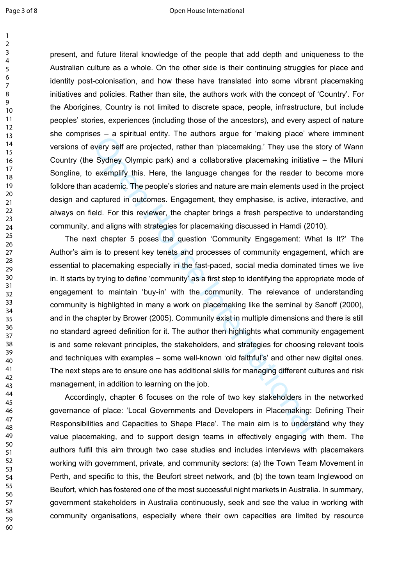present, and future literal knowledge of the people that add depth and uniqueness to the Australian culture as a whole. On the other side is their continuing struggles for place and identity post-colonisation, and how these have translated into some vibrant placemaking initiatives and policies. Rather than site, the authors work with the concept of 'Country'. For the Aborigines, Country is not limited to discrete space, people, infrastructure, but include peoples' stories, experiences (including those of the ancestors), and every aspect of nature she comprises – a spiritual entity. The authors argue for 'making place' where imminent versions of every self are projected, rather than 'placemaking.' They use the story of Wann Country (the Sydney Olympic park) and a collaborative placemaking initiative – the Miluni Songline, to exemplify this. Here, the language changes for the reader to become more folklore than academic. The people's stories and nature are main elements used in the project design and captured in outcomes. Engagement, they emphasise, is active, interactive, and always on field. For this reviewer, the chapter brings a fresh perspective to understanding community, and aligns with strategies for placemaking discussed in Hamdi (2010).

Some a symmal change them in placemaking into minality placemations wery self are projected, rather than 'placemaking.' They use the statement of sydney Olympic park) and a collaborative placemaking initiative exemplify th The next chapter 5 poses the question 'Community Engagement: What Is It?' The Author's aim is to present key tenets and processes of community engagement, which are essential to placemaking especially in the fast-paced, social media dominated times we live in. It starts by trying to define 'community' as a first step to identifying the appropriate mode of engagement to maintain 'buy-in' with the community. The relevance of understanding community is highlighted in many a work on placemaking like the seminal by Sanoff (2000), and in the chapter by Brower (2005). Community exist in multiple dimensions and there is still no standard agreed definition for it. The author then highlights what community engagement is and some relevant principles, the stakeholders, and strategies for choosing relevant tools and techniques with examples – some well-known 'old faithful's' and other new digital ones. The next steps are to ensure one has additional skills for managing different cultures and risk management, in addition to learning on the job.

Accordingly, chapter 6 focuses on the role of two key stakeholders in the networked governance of place: 'Local Governments and Developers in Placemaking: Defining Their Responsibilities and Capacities to Shape Place'. The main aim is to understand why they value placemaking, and to support design teams in effectively engaging with them. The authors fulfil this aim through two case studies and includes interviews with placemakers working with government, private, and community sectors: (a) the Town Team Movement in Perth, and specific to this, the Beufort street network, and (b) the town team Inglewood on Beufort, which has fostered one of the most successful night markets in Australia. In summary, government stakeholders in Australia continuously, seek and see the value in working with community organisations, especially where their own capacities are limited by resource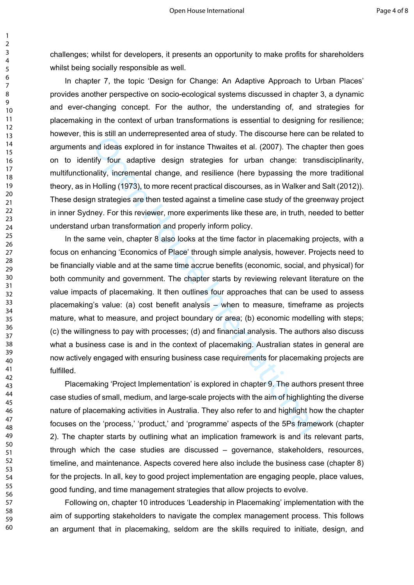challenges; whilst for developers, it presents an opportunity to make profits for shareholders whilst being socially responsible as well.

In chapter 7, the topic 'Design for Change: An Adaptive Approach to Urban Places' provides another perspective on socio-ecological systems discussed in chapter 3, a dynamic and ever-changing concept. For the author, the understanding of, and strategies for placemaking in the context of urban transformations is essential to designing for resilience; however, this is still an underrepresented area of study. The discourse here can be related to arguments and ideas explored in for instance Thwaites et al. (2007). The chapter then goes on to identify four adaptive design strategies for urban change: transdisciplinarity, multifunctionality, incremental change, and resilience (here bypassing the more traditional theory, as in Holling (1973), to more recent practical discourses, as in Walker and Salt (2012)). These design strategies are then tested against a timeline case study of the greenway project in inner Sydney. For this reviewer, more experiments like these are, in truth, needed to better understand urban transformation and properly inform policy.

So som an announculous and a cost of the synthic metallong and ideas explored in for instance Thwaites et all. (2007). The chaptify four adaptive design strategies for urban change: transality, incremental change, and resi In the same vein, chapter 8 also looks at the time factor in placemaking projects, with a focus on enhancing 'Economics of Place' through simple analysis, however. Projects need to be financially viable and at the same time accrue benefits (economic, social, and physical) for both community and government. The chapter starts by reviewing relevant literature on the value impacts of placemaking. It then outlines four approaches that can be used to assess placemaking's value: (a) cost benefit analysis – when to measure, timeframe as projects mature, what to measure, and project boundary or area; (b) economic modelling with steps; (c) the willingness to pay with processes; (d) and financial analysis. The authors also discuss what a business case is and in the context of placemaking. Australian states in general are now actively engaged with ensuring business case requirements for placemaking projects are fulfilled.

Placemaking 'Project Implementation' is explored in chapter 9. The authors present three case studies of small, medium, and large-scale projects with the aim of highlighting the diverse nature of placemaking activities in Australia. They also refer to and highlight how the chapter focuses on the 'process,' 'product,' and 'programme' aspects of the 5Ps framework (chapter 2). The chapter starts by outlining what an implication framework is and its relevant parts, through which the case studies are discussed – governance, stakeholders, resources, timeline, and maintenance. Aspects covered here also include the business case (chapter 8) for the projects. In all, key to good project implementation are engaging people, place values, good funding, and time management strategies that allow projects to evolve.

Following on, chapter 10 introduces 'Leadership in Placemaking' implementation with the aim of supporting stakeholders to navigate the complex management process. This follows an argument that in placemaking, seldom are the skills required to initiate, design, and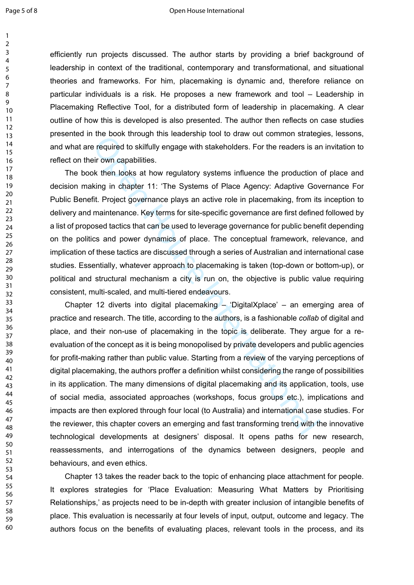efficiently run projects discussed. The author starts by providing a brief background of leadership in context of the traditional, contemporary and transformational, and situational theories and frameworks. For him, placemaking is dynamic and, therefore reliance on particular individuals is a risk. He proposes a new framework and tool – Leadership in Placemaking Reflective Tool, for a distributed form of leadership in placemaking. A clear outline of how this is developed is also presented. The author then reflects on case studies presented in the book through this leadership tool to draw out common strategies, lessons, and what are required to skilfully engage with stakeholders. For the readers is an invitation to reflect on their own capabilities.

The book then looks at how regulatory systems influence the production of place and decision making in chapter 11: 'The Systems of Place Agency: Adaptive Governance For Public Benefit. Project governance plays an active role in placemaking, from its inception to delivery and maintenance. Key terms for site-specific governance are first defined followed by a list of proposed tactics that can be used to leverage governance for public benefit depending on the politics and power dynamics of place. The conceptual framework, relevance, and implication of these tactics are discussed through a series of Australian and international case studies. Essentially, whatever approach to placemaking is taken (top-down or bottom-up), or political and structural mechanism a city is run on, the objective is public value requiring consistent, multi-scaled, and multi-tiered endeavours.

are book unrough and stateshing toom to star the reading the required to skilfully engage with stakeholders. For the readers is a required to skilfully engage with stakeholders. For the readers is a reference of policities Chapter 12 diverts into digital placemaking  $-$  'DigitalXplace'  $-$  an emerging area of practice and research. The title, according to the authors, is a fashionable *collab* of digital and place, and their non-use of placemaking in the topic is deliberate. They argue for a reevaluation of the concept as it is being monopolised by private developers and public agencies for profit-making rather than public value. Starting from a review of the varying perceptions of digital placemaking, the authors proffer a definition whilst considering the range of possibilities in its application. The many dimensions of digital placemaking and its application, tools, use of social media, associated approaches (workshops, focus groups etc.), implications and impacts are then explored through four local (to Australia) and international case studies. For the reviewer, this chapter covers an emerging and fast transforming trend with the innovative technological developments at designers' disposal. It opens paths for new research, reassessments, and interrogations of the dynamics between designers, people and behaviours, and even ethics.

Chapter 13 takes the reader back to the topic of enhancing place attachment for people. It explores strategies for 'Place Evaluation: Measuring What Matters by Prioritising Relationships,' as projects need to be in-depth with greater inclusion of intangible benefits of place. This evaluation is necessarily at four levels of input, output, outcome and legacy. The authors focus on the benefits of evaluating places, relevant tools in the process, and its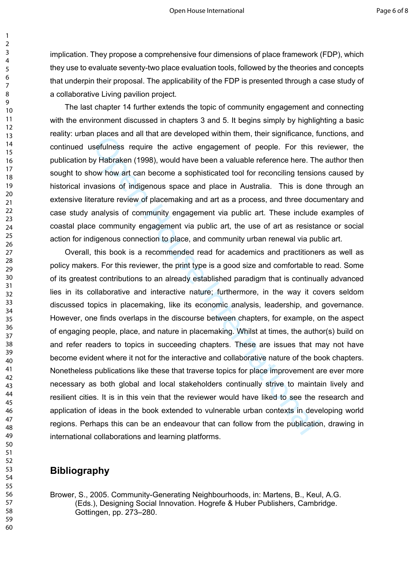implication. They propose a comprehensive four dimensions of place framework (FDP), which they use to evaluate seventy-two place evaluation tools, followed by the theories and concepts that underpin their proposal. The applicability of the FDP is presented through a case study of a collaborative Living pavilion project.

The last chapter 14 further extends the topic of community engagement and connecting with the environment discussed in chapters 3 and 5. It begins simply by highlighting a basic reality: urban places and all that are developed within them, their significance, functions, and continued usefulness require the active engagement of people. For this reviewer, the publication by Habraken (1998), would have been a valuable reference here. The author then sought to show how art can become a sophisticated tool for reconciling tensions caused by historical invasions of indigenous space and place in Australia. This is done through an extensive literature review of placemaking and art as a process, and three documentary and case study analysis of community engagement via public art. These include examples of coastal place community engagement via public art, the use of art as resistance or social action for indigenous connection to place, and community urban renewal via public art.

places and an unature curvely whannel ment, then suggement of people. For this rest<br>difference and an unature curve expansion of people. For this represent<br>or thow how and can become a sophisticated tool for reconciling te Overall, this book is a recommended read for academics and practitioners as well as policy makers. For this reviewer, the print type is a good size and comfortable to read. Some of its greatest contributions to an already established paradigm that is continually advanced lies in its collaborative and interactive nature; furthermore, in the way it covers seldom discussed topics in placemaking, like its economic analysis, leadership, and governance. However, one finds overlaps in the discourse between chapters, for example, on the aspect of engaging people, place, and nature in placemaking. Whilst at times, the author(s) build on and refer readers to topics in succeeding chapters. These are issues that may not have become evident where it not for the interactive and collaborative nature of the book chapters. Nonetheless publications like these that traverse topics for place improvement are ever more necessary as both global and local stakeholders continually strive to maintain lively and resilient cities. It is in this vein that the reviewer would have liked to see the research and application of ideas in the book extended to vulnerable urban contexts in developing world regions. Perhaps this can be an endeavour that can follow from the publication, drawing in international collaborations and learning platforms.

## **Bibliography**

Brower, S., 2005. Community-Generating Neighbourhoods, in: Martens, B., Keul, A.G. (Eds.), Designing Social Innovation. Hogrefe & Huber Publishers, Cambridge. Gottingen, pp. 273–280.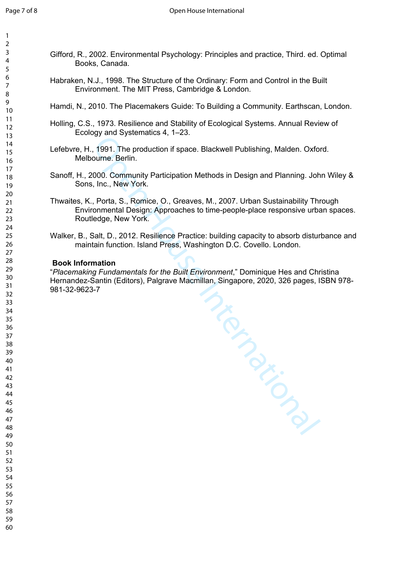- Gifford, R., 2002. Environmental Psychology: Principles and practice, Third. ed. Optimal Books, Canada.
- Habraken, N.J., 1998. The Structure of the Ordinary: Form and Control in the Built Environment. The MIT Press, Cambridge & London.
- Hamdi, N., 2010. The Placemakers Guide: To Building a Community. Earthscan, London.
- Holling, C.S., 1973. Resilience and Stability of Ecological Systems. Annual Review of Ecology and Systematics 4, 1–23.
- Lefebvre, H., 1991. The production if space. Blackwell Publishing, Malden. Oxford. Melbourne. Berlin.
- Sanoff, H., 2000. Community Participation Methods in Design and Planning. John Wiley & Sons, Inc., New York.
- Thwaites, K., Porta, S., Romice, O., Greaves, M., 2007. Urban Sustainability Through Environmental Design: Approaches to time-people-place responsive urban spaces. Routledge, New York.
- Walker, B., Salt, D., 2012. Resilience Practice: building capacity to absorb disturbance and maintain function. Island Press, Washington D.C. Covello. London.

## **Book Information**

THE ROAD "*Placemaking Fundamentals for the Built Environment*," Dominique Hes and Christina Hernandez-Santin (Editors), Palgrave Macmillan, Singapore, 2020, 326 pages, ISBN 978- 981-32-9623-7